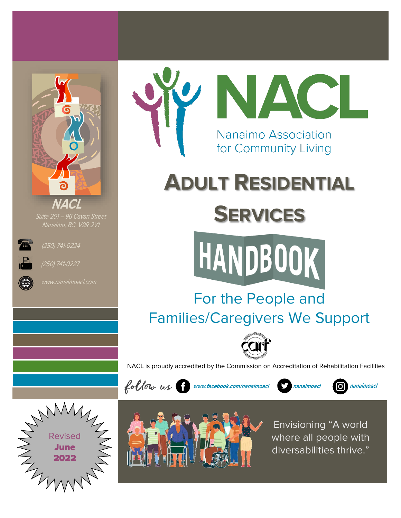

Suite 201 – 96 Cavan Street Nanaimo, BC V9R 2V1



(250) 741-0224



(250) 741-0227



# **ADULT RESIDENTIAL**

## **SERVICES**



## For the People and Families/Caregivers We Support



NACL is proudly accredited by the Commission on Accreditation of Rehabilitation Facilities



**www.facebook.com/nanaimoacl nanaimoacl nanaimoacl**







Envisioning "A world where all people with diversabilities thrive."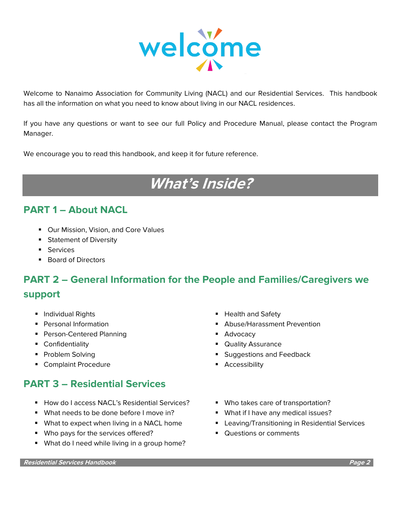

Welcome to Nanaimo Association for Community Living (NACL) and our Residential Services. This handbook has all the information on what you need to know about living in our NACL residences.

If you have any questions or want to see our full Policy and Procedure Manual, please contact the Program Manager.

We encourage you to read this handbook, and keep it for future reference.

## **What's Inside?**

#### **PART 1 – About NACL**

- Our Mission, Vision, and Core Values
- Statement of Diversity
- Services
- Board of Directors

## **PART 2 – General Information for the People and Families/Caregivers we**

#### **support**

- 
- 
- Person-Centered Planning Person-Centered Planning
- 
- 
- Complaint Procedure Accessibility

#### **PART 3 – Residential Services**

- How do I access NACL's Residential Services? Who takes care of transportation?
- What needs to be done before I move in? What if I have any medical issues?
- 
- Who pays for the services offered? Questions or comments
- What do I need while living in a group home?
- Individual Rights  **Health and Safety**
- Personal Information 
Abuse/Harassment Prevention
	-
- Confidentiality  **Confidentiality Confidentiality Confidentiality Cuality Assurance**
- Problem Solving Suggestions and Feedback
	-
	-
	-
- What to expect when living in a NACL home Leaving/Transitioning in Residential Services
	-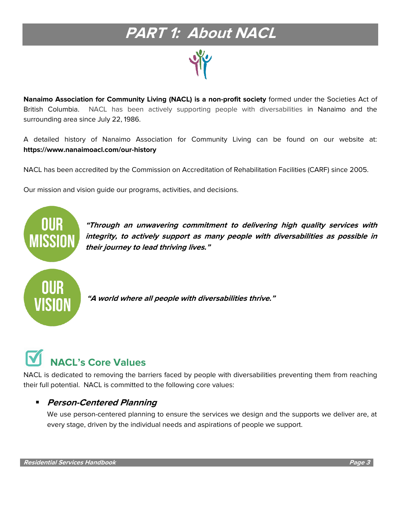## **PART 1: About NACL**

**Nanaimo Association for Community Living (NACL) is a non-profit society** formed under the Societies Act of British Columbia. NACL has been actively supporting people with diversabilities in Nanaimo and the surrounding area since July 22, 1986.

A detailed history of Nanaimo Association for Community Living can be found on our website at: **https://www.nanaimoacl.com/our-history**

NACL has been accredited by the [Commission on Accreditation of Rehabilitation Facilities \(CARF\)](http://www.carf.org/) since 2005.

Our mission and vision guide our programs, activities, and decisions.



**"Through an unwavering commitment to delivering high quality services with integrity, to actively support as many people with diversabilities as possible in their journey to lead thriving lives."**

**"A world where all people with diversabilities thrive."**

## **NACL's Core Values**

NACL is dedicated to removing the barriers faced by people with diversabilities preventing them from reaching their full potential. NACL is committed to the following core values:

#### ▪ **Person-Centered Planning**

We use person-centered planning to ensure the services we design and the supports we deliver are, at every stage, driven by the individual needs and aspirations of people we support.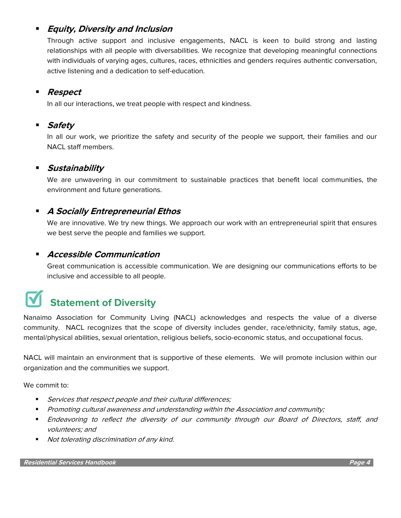#### **Equity, Diversity and Inclusion**

Through active support and inclusive engagements, NACL is keen to build strong and lasting relationships with all people with diversabilities. We recognize that developing meaningful connections with individuals of varying ages, cultures, races, ethnicities and genders requires authentic conversation, active listening and a dedication to self-education.

#### ▪ **Respect**

In all our interactions, we treat people with respect and kindness.

#### **Safety**

In all our work, we prioritize the safety and security of the people we support, their families and our NACL staff members.

#### **Sustainability**

We are unwavering in our commitment to sustainable practices that benefit local communities, the environment and future generations.

#### **A Socially Entrepreneurial Ethos**

We are innovative. We try new things. We approach our work with an entrepreneurial spirit that ensures we best serve the people and families we support.

#### ▪ **Accessible Communication**

Great communication is accessible communication. We are designing our communications efforts to be inclusive and accessible to all people.

## **Statement of Diversity**

Nanaimo Association for Community Living (NACL) acknowledges and respects the value of a diverse community. NACL recognizes that the scope of diversity includes gender, race/ethnicity, family status, age, mental/physical abilities, sexual orientation, religious beliefs, socio-economic status, and occupational focus.

NACL will maintain an environment that is supportive of these elements. We will promote inclusion within our organization and the communities we support.

We commit to:

- Services that respect people and their cultural differences;
- Promoting cultural awareness and understanding within the Association and community;
- **Endeavoring to reflect the diversity of our community through our Board of Directors, staff, and** volunteers; and
- Not tolerating discrimination of any kind.

**Residential Services Handbook Page 4**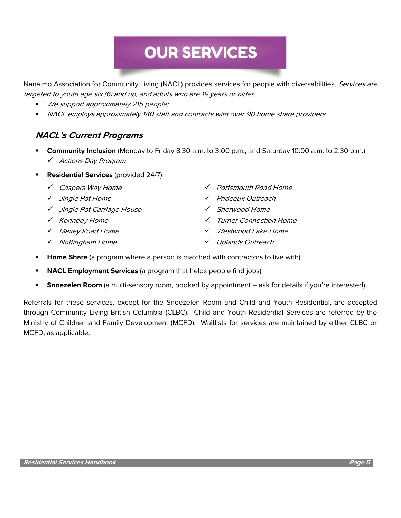## **OUR SERVICES**

Nanaimo Association for Community Living (NACL) provides services for people with diversabilities. Services are targeted to youth age six (6) and up, and adults who are 19 years or older;

- We support approximately 215 people;
- NACL employs approximately 180 staff and contracts with over 90 home share providers.

#### **NACL's Current Programs**

- **Community Inclusion** (Monday to Friday 8:30 a.m. to 3:00 p.m., and Saturday 10:00 a.m. to 2:30 p.m.) ✓ Actions Day Program
- **Residential Services** (provided 24/7)
	-
	-
	- ✓ Jingle Pot Carriage House ✓ Sherwood Home
	-
	-
	- ✓ Nottingham Home ✓ Uplands Outreach
	- ✓ Caspers Way Home ✓ Portsmouth Road Home
	- ✓ Jingle Pot Home ✓ Prideaux Outreach
		-
	- ✓ Kennedy Home ✓ Turner Connection Home
	- ✓ Maxey Road Home ✓ Westwood Lake Home
		-
- **Home Share** (a program where a person is matched with contractors to live with)
- **NACL Employment Services** (a program that helps people find jobs)
- **Snoezelen Room** (a multi-sensory room, booked by appointment ask for details if you're interested)

Referrals for these services, except for the Snoezelen Room and Child and Youth Residential, are accepted through Community Living British Columbia (CLBC). Child and Youth Residential Services are referred by the Ministry of Children and Family Development (MCFD). Waitlists for services are maintained by either CLBC or MCFD, as applicable.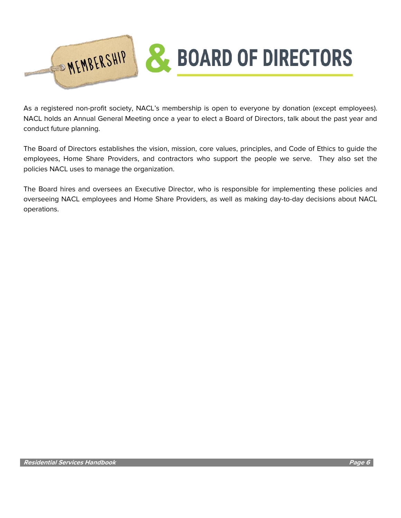

As a registered non-profit society, NACL's membership is open to everyone by donation (except employees). NACL holds an Annual General Meeting once a year to elect a Board of Directors, talk about the past year and conduct future planning.

The Board of Directors establishes the vision, mission, core values, principles, and Code of Ethics to guide the employees, Home Share Providers, and contractors who support the people we serve. They also set the policies NACL uses to manage the organization.

The Board hires and oversees an Executive Director, who is responsible for implementing these policies and overseeing NACL employees and Home Share Providers, as well as making day-to-day decisions about NACL operations.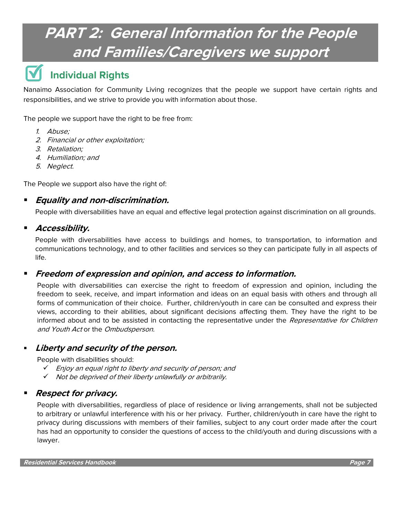## **PART 2: General Information for the People and Families/Caregivers we support**

### **Individual Rights**

Nanaimo Association for Community Living recognizes that the people we support have certain rights and responsibilities, and we strive to provide you with information about those.

The people we support have the right to be free from:

- 1. Abuse;
- 2. Financial or other exploitation;
- 3. Retaliation;
- 4. Humiliation; and
- 5. Neglect.

The People we support also have the right of:

#### ▪ **Equality and non-discrimination.**

People with diversabilities have an equal and effective legal protection against discrimination on all grounds.

#### ▪ **Accessibility.**

People with diversabilities have access to buildings and homes, to transportation, to information and communications technology, and to other facilities and services so they can participate fully in all aspects of life.

#### ▪ **Freedom of expression and opinion, and access to information.**

People with diversabilities can exercise the right to freedom of expression and opinion, including the freedom to seek, receive, and impart information and ideas on an equal basis with others and through all forms of communication of their choice. Further, children/youth in care can be consulted and express their views, according to their abilities, about significant decisions affecting them. They have the right to be informed about and to be assisted in contacting the representative under the Representative for Children and Youth Act or the Ombudsperson.

#### **Liberty and security of the person.**

People with disabilities should:

- ✓ Enjoy an equal right to liberty and security of person; and
- ✓ Not be deprived of their liberty unlawfully or arbitrarily.

#### **Respect for privacy.**

People with diversabilities, regardless of place of residence or living arrangements, shall not be subjected to arbitrary or unlawful interference with his or her privacy. Further, children/youth in care have the right to privacy during discussions with members of their families, subject to any court order made after the court has had an opportunity to consider the questions of access to the child/youth and during discussions with a lawyer.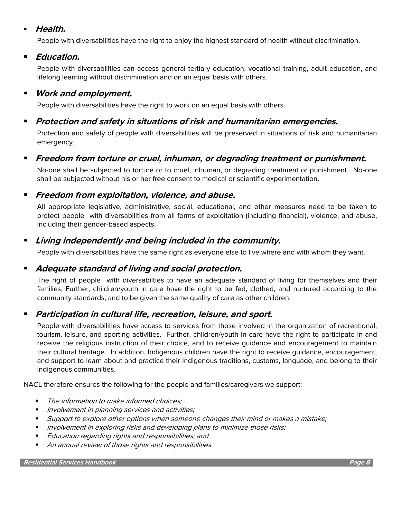#### ▪ **Health.**

People with diversabilities have the right to enjoy the highest standard of health without discrimination.

#### ▪ **Education.**

People with diversabilities can access general tertiary education, vocational training, adult education, and lifelong learning without discrimination and on an equal basis with others.

#### ▪ **Work and employment.**

People with diversabilities have the right to work on an equal basis with others.

#### ▪ **Protection and safety in situations of risk and humanitarian emergencies.**

Protection and safety of people with diversabilities will be preserved in situations of risk and humanitarian emergency.

#### ▪ **Freedom from torture or cruel, inhuman, or degrading treatment or punishment.**

No-one shall be subjected to torture or to cruel, inhuman, or degrading treatment or punishment. No-one shall be subjected without his or her free consent to medical or scientific experimentation.

#### ▪ **Freedom from exploitation, violence, and abuse.**

All appropriate legislative, administrative, social, educational, and other measures need to be taken to protect people with diversabilities from all forms of exploitation (including financial), violence, and abuse, including their gender-based aspects.

#### ▪ **Living independently and being included in the community.**

People with diversabilities have the same right as everyone else to live where and with whom they want.

#### ▪ **Adequate standard of living and social protection.**

The right of people with diversabilties to have an adequate standard of living for themselves and their families. Further, children/youth in care have the right to be fed, clothed, and nurtured according to the community standards, and to be given the same quality of care as other children.

#### ▪ **Participation in cultural life, recreation, leisure, and sport.**

People with diversabilities have access to services from those involved in the organization of recreational, tourism, leisure, and sporting activities. Further, children/youth in care have the right to participate in and receive the religious instruction of their choice, and to receive guidance and encouragement to maintain their cultural heritage. In addition, Indigenous children have the right to receive guidance, encouragement, and support to learn about and practice their Indigenous traditions, customs, language, and belong to their Indigenous communities.

NACL therefore ensures the following for the people and families/caregivers we support:

- The information to make informed choices:
- Involvement in planning services and activities;
- Support to explore other options when someone changes their mind or makes a mistake;
- **■** Involvement in exploring risks and developing plans to minimize those risks;
- Education regarding rights and responsibilities; and
- An annual review of those rights and responsibilities.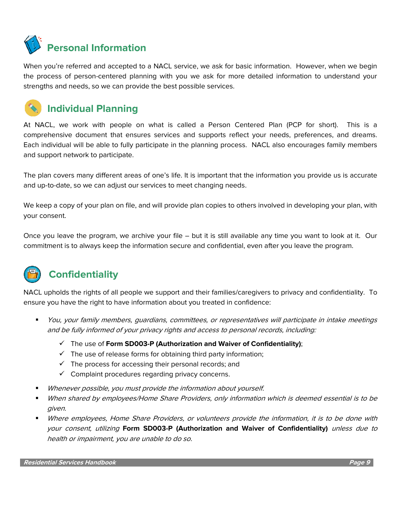

When you're referred and accepted to a NACL service, we ask for basic information. However, when we begin the process of person-centered planning with you we ask for more detailed information to understand your strengths and needs, so we can provide the best possible services.



At NACL, we work with people on what is called a Person Centered Plan (PCP for short). This is a comprehensive document that ensures services and supports reflect your needs, preferences, and dreams. Each individual will be able to fully participate in the planning process. NACL also encourages family members and support network to participate.

The plan covers many different areas of one's life. It is important that the information you provide us is accurate and up-to-date, so we can adjust our services to meet changing needs.

We keep a copy of your plan on file, and will provide plan copies to others involved in developing your plan, with your consent.

Once you leave the program, we archive your file – but it is still available any time you want to look at it. Our commitment is to always keep the information secure and confidential, even after you leave the program.



### **Confidentiality**

NACL upholds the rights of all people we support and their families/caregivers to privacy and confidentiality. To ensure you have the right to have information about you treated in confidence:

- You, your family members, guardians, committees, or representatives will participate in intake meetings and be fully informed of your privacy rights and access to personal records, including:
	- ✓ The use of **Form SD003-P (Authorization and Waiver of Confidentiality)**;
	- $\checkmark$  The use of release forms for obtaining third party information;
	- $\checkmark$  The process for accessing their personal records; and
	- $\checkmark$  Complaint procedures regarding privacy concerns.
- Whenever possible, you must provide the information about yourself.
- When shared by employees/Home Share Providers, only information which is deemed essential is to be given.
- Where employees, Home Share Providers, or volunteers provide the information, it is to be done with your consent, utilizing **Form SD003-P (Authorization and Waiver of Confidentiality)** unless due to health or impairment, you are unable to do so.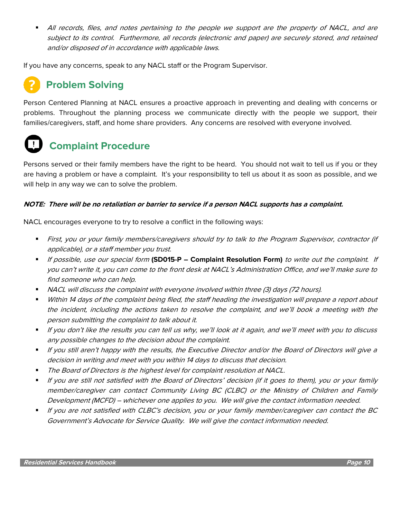All records, files, and notes pertaining to the people we support are the property of NACL, and are subject to its control. Furthermore, all records (electronic and paper) are securely stored, and retained and/or disposed of in accordance with applicable laws.

If you have any concerns, speak to any NACL staff or the Program Supervisor.

### **Problem Solving**

Person Centered Planning at NACL ensures a proactive approach in preventing and dealing with concerns or problems. Throughout the planning process we communicate directly with the people we support, their families/caregivers, staff, and home share providers. Any concerns are resolved with everyone involved.

### **Complaint Procedure**

Persons served or their family members have the right to be heard. You should not wait to tell us if you or they are having a problem or have a complaint. It's your responsibility to tell us about it as soon as possible, and we will help in any way we can to solve the problem.

#### **NOTE: There will be no retaliation or barrier to service if a person NACL supports has a complaint.**

NACL encourages everyone to try to resolve a conflict in the following ways:

- First, you or your family members/caregivers should try to talk to the Program Supervisor, contractor (if applicable), or a staff member you trust.
- If possible, use our special form **(SD015-P – Complaint Resolution Form)** to write out the complaint. If you can't write it, you can come to the front desk at NACL's Administration Office, and we'll make sure to find someone who can help.
- NACL will discuss the complaint with everyone involved within three (3) days (72 hours).
- Within 14 days of the complaint being filed, the staff heading the investigation will prepare a report about the incident, including the actions taken to resolve the complaint, and we'll book a meeting with the person submitting the complaint to talk about it.
- If you don't like the results you can tell us why, we'll look at it again, and we'll meet with you to discuss any possible changes to the decision about the complaint.
- If you still aren't happy with the results, the Executive Director and/or the Board of Directors will give a decision in writing and meet with you within 14 days to discuss that decision.
- The Board of Directors is the highest level for complaint resolution at NACL.
- If you are still not satisfied with the Board of Directors' decision (if it goes to them), you or your family member/caregiver can contact Community Living BC (CLBC) or the Ministry of Children and Family Development (MCFD) – whichever one applies to you. We will give the contact information needed.
- If you are not satisfied with CLBC's decision, you or your family member/caregiver can contact the BC Government's Advocate for Service Quality. We will give the contact information needed.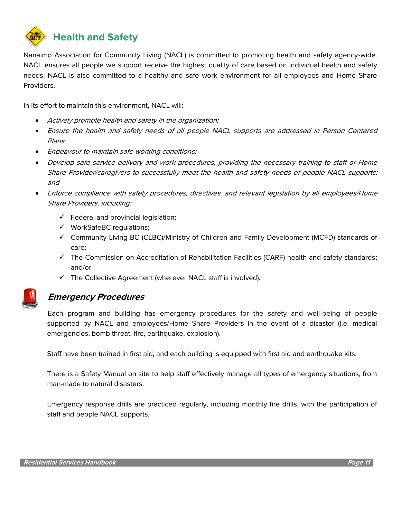

Nanaimo Association for Community Living (NACL) is committed to promoting health and safety agency-wide. NACL ensures all people we support receive the highest quality of care based on individual health and safety needs. NACL is also committed to a healthy and safe work environment for all employees and Home Share Providers.

In its effort to maintain this environment, NACL will:

- Actively promote health and safety in the organization;
- Ensure the health and safety needs of all people NACL supports are addressed in Person Centered Plans;
- Endeavour to maintain safe working conditions;
- Develop safe service delivery and work procedures, providing the necessary training to staff or Home Share Provider/caregivers to successfully meet the health and safety needs of people NACL supports; and
- Enforce compliance with safety procedures, directives, and relevant legislation by all employees/Home Share Providers, including:
	- $\checkmark$  Federal and provincial legislation;
	- ✓ WorkSafeBC regulations;
	- ✓ Community Living BC (CLBC)/Ministry of Children and Family Development (MCFD) standards of care;
	- ✓ The Commission on Accreditation of Rehabilitation Facilities (CARF) health and safety standards; and/or
	- ✓ The Collective Agreement (wherever NACL staff is involved).



#### **Emergency Procedures**

Each program and building has emergency procedures for the safety and well-being of people supported by NACL and employees/Home Share Providers in the event of a disaster (i.e. medical emergencies, bomb threat, fire, earthquake, explosion).

Staff have been trained in first aid, and each building is equipped with first aid and earthquake kits.

There is a Safety Manual on site to help staff effectively manage all types of emergency situations, from man-made to natural disasters.

Emergency response drills are practiced regularly, including monthly fire drills, with the participation of staff and people NACL supports.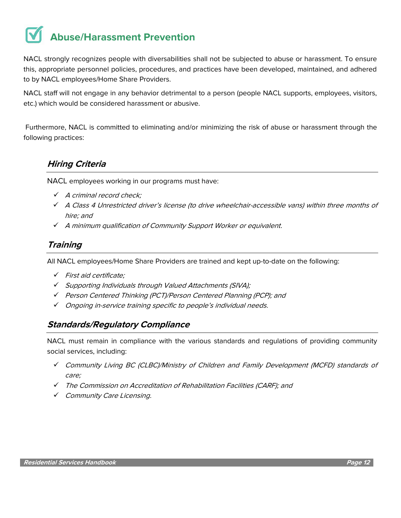## **Abuse/Harassment Prevention**

NACL strongly recognizes people with diversabilities shall not be subjected to abuse or harassment. To ensure this, appropriate personnel policies, procedures, and practices have been developed, maintained, and adhered to by NACL employees/Home Share Providers.

NACL staff will not engage in any behavior detrimental to a person (people NACL supports, employees, visitors, etc.) which would be considered harassment or abusive.

Furthermore, NACL is committed to eliminating and/or minimizing the risk of abuse or harassment through the following practices:

#### **Hiring Criteria**

NACL employees working in our programs must have:

- ✓ A criminal record check;
- ✓ A Class 4 Unrestricted driver's license (to drive wheelchair-accessible vans) within three months of hire; and
- ✓ <sup>A</sup> minimum qualification of Community Support Worker or equivalent.

#### **Training**

All NACL employees/Home Share Providers are trained and kept up-to-date on the following:

- ✓ First aid certificate;
- ✓ Supporting Individuals through Valued Attachments (SIVA);
- ✓ Person Centered Thinking (PCT)/Person Centered Planning (PCP); and
- ✓ Ongoing in-service training specific to people's individual needs.

#### **Standards/Regulatory Compliance**

NACL must remain in compliance with the various standards and regulations of providing community social services, including:

- ✓ Community Living BC (CLBC)/Ministry of Children and Family Development (MCFD) standards of care;
- ✓ The Commission on Accreditation of Rehabilitation Facilities (CARF); and
- ✓ Community Care Licensing.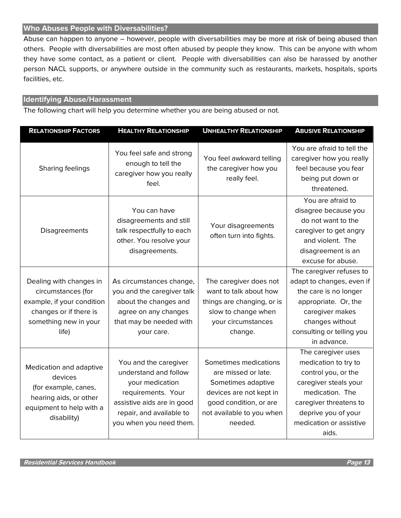#### **Who Abuses People with Diversabilities?**

Abuse can happen to anyone – however, people with diversabilities may be more at risk of being abused than others. People with diversabilities are most often abused by people they know. This can be anyone with whom they have some contact, as a patient or client. People with diversabilities can also be harassed by another person NACL supports, or anywhere outside in the community such as restaurants, markets, hospitals, sports facilities, etc.

#### **Identifying Abuse/Harassment**

The following chart will help you determine whether you are being abused or not.

| <b>RELATIONSHIP FACTORS</b>                                                                                                             | <b>HEALTHY RELATIONSHIP</b>                                                                                                                                                  | <b>UNHEALTHY RELATIONSHIP</b>                                                                                                                                   | <b>ABUSIVE RELATIONSHIP</b>                                                                                                                                                                        |
|-----------------------------------------------------------------------------------------------------------------------------------------|------------------------------------------------------------------------------------------------------------------------------------------------------------------------------|-----------------------------------------------------------------------------------------------------------------------------------------------------------------|----------------------------------------------------------------------------------------------------------------------------------------------------------------------------------------------------|
| Sharing feelings                                                                                                                        | You feel safe and strong<br>enough to tell the<br>caregiver how you really<br>feel.                                                                                          | You feel awkward telling<br>the caregiver how you<br>really feel.                                                                                               | You are afraid to tell the<br>caregiver how you really<br>feel because you fear<br>being put down or<br>threatened.                                                                                |
| Disagreements                                                                                                                           | You can have<br>disagreements and still<br>talk respectfully to each<br>other. You resolve your<br>disagreements.                                                            | Your disagreements<br>often turn into fights.                                                                                                                   | You are afraid to<br>disagree because you<br>do not want to the<br>caregiver to get angry<br>and violent. The<br>disagreement is an<br>excuse for abuse.                                           |
| Dealing with changes in<br>circumstances (for<br>example, if your condition<br>changes or if there is<br>something new in your<br>life) | As circumstances change,<br>you and the caregiver talk<br>about the changes and<br>agree on any changes<br>that may be needed with<br>your care.                             | The caregiver does not<br>want to talk about how<br>things are changing, or is<br>slow to change when<br>your circumstances<br>change.                          | The caregiver refuses to<br>adapt to changes, even if<br>the care is no longer<br>appropriate. Or, the<br>caregiver makes<br>changes without<br>consulting or telling you<br>in advance.           |
| Medication and adaptive<br>devices<br>(for example, canes,<br>hearing aids, or other<br>equipment to help with a<br>disability)         | You and the caregiver<br>understand and follow<br>your medication<br>requirements. Your<br>assistive aids are in good<br>repair, and available to<br>you when you need them. | Sometimes medications<br>are missed or late.<br>Sometimes adaptive<br>devices are not kept in<br>good condition, or are<br>not available to you when<br>needed. | The caregiver uses<br>medication to try to<br>control you, or the<br>caregiver steals your<br>medication. The<br>caregiver threatens to<br>deprive you of your<br>medication or assistive<br>aids. |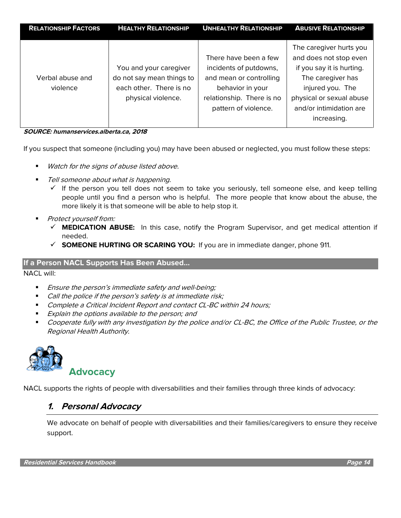| <b>RELATIONSHIP FACTORS</b> | <b>HEALTHY RELATIONSHIP</b> | <b>UNHEALTHY RELATIONSHIP</b> | <b>ABUSIVE RELATIONSHIP</b> |
|-----------------------------|-----------------------------|-------------------------------|-----------------------------|
|                             |                             |                               |                             |
|                             |                             |                               | The caregiver hurts you     |
|                             |                             | There have been a few         | and does not stop even      |
|                             | You and your caregiver      | incidents of putdowns,        | if you say it is hurting.   |
| Verbal abuse and            | do not say mean things to   | and mean or controlling       | The caregiver has           |
| violence                    | each other. There is no     | behavior in your              | injured you. The            |
|                             | physical violence.          | relationship. There is no     | physical or sexual abuse    |
|                             |                             | pattern of violence.          | and/or intimidation are     |
|                             |                             |                               | increasing.                 |
|                             |                             |                               |                             |

**SOURCE: humanservices.alberta.ca, 2018**

If you suspect that someone (including you) may have been abused or neglected, you must follow these steps:

- Watch for the signs of abuse listed above.
- Tell someone about what is happening.
	- $\checkmark$  If the person you tell does not seem to take you seriously, tell someone else, and keep telling people until you find a person who is helpful. The more people that know about the abuse, the more likely it is that someone will be able to help stop it.
- Protect yourself from:
	- ✓ **MEDICATION ABUSE:** In this case, notify the Program Supervisor, and get medical attention if needed.
	- ✓ **SOMEONE HURTING OR SCARING YOU:** If you are in immediate danger, phone 911.

#### **If a Person NACL Supports Has Been Abused…**

NACL will:

- Ensure the person's immediate safety and well-being;
- Call the police if the person's safety is at immediate risk;
- Complete a Critical Incident Report and contact CL-BC within 24 hours;
- Explain the options available to the person; and
- Cooperate fully with any investigation by the police and/or CL-BC, the Office of the Public Trustee, or the Regional Health Authority.



NACL supports the rights of people with diversabilities and their families through three kinds of advocacy:

#### **1. Personal Advocacy**

We advocate on behalf of people with diversabilities and their families/caregivers to ensure they receive support.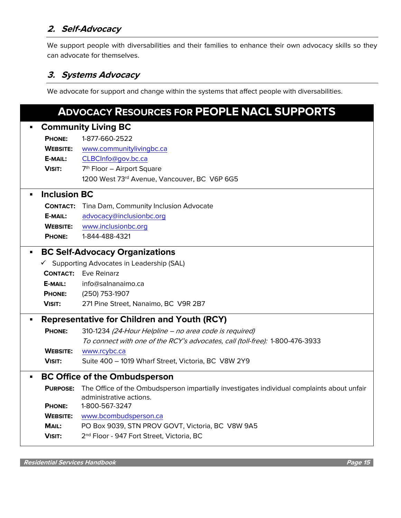#### **2. Self-Advocacy**

We support people with diversabilities and their families to enhance their own advocacy skills so they can advocate for themselves.

#### **3. Systems Advocacy**

We advocate for support and change within the systems that affect people with diversabilities.

#### **ADVOCACY RESOURCES FOR PEOPLE NACL SUPPORTS**

|                | <b>Community Living BC</b>                         |                                                                                                                       |  |  |  |
|----------------|----------------------------------------------------|-----------------------------------------------------------------------------------------------------------------------|--|--|--|
|                | <b>PHONE:</b>                                      | 1-877-660-2522                                                                                                        |  |  |  |
|                | <b>WEBSITE:</b>                                    | www.communitylivingbc.ca                                                                                              |  |  |  |
|                | E-MAIL:                                            | CLBCInfo@gov.bc.ca                                                                                                    |  |  |  |
|                | <b>VISIT:</b>                                      | 7 <sup>th</sup> Floor - Airport Square                                                                                |  |  |  |
|                |                                                    | 1200 West 73rd Avenue, Vancouver, BC V6P 6G5                                                                          |  |  |  |
| $\blacksquare$ | <b>Inclusion BC</b>                                |                                                                                                                       |  |  |  |
|                |                                                    | <b>CONTACT:</b> Tina Dam, Community Inclusion Advocate                                                                |  |  |  |
|                | E-MAIL:                                            | advocacy@inclusionbc.org                                                                                              |  |  |  |
|                | <b>WEBSITE:</b>                                    | www.inclusionbc.org                                                                                                   |  |  |  |
|                | <b>PHONE:</b>                                      | 1-844-488-4321                                                                                                        |  |  |  |
| $\blacksquare$ | <b>BC Self-Advocacy Organizations</b>              |                                                                                                                       |  |  |  |
|                |                                                    | ✓ Supporting Advocates in Leadership (SAL)                                                                            |  |  |  |
|                |                                                    | <b>CONTACT:</b> Eve Reinarz                                                                                           |  |  |  |
|                | E-MAIL:                                            | info@salnanaimo.ca                                                                                                    |  |  |  |
|                | <b>PHONE:</b>                                      | (250) 753-1907                                                                                                        |  |  |  |
|                | <b>VISIT:</b>                                      | 271 Pine Street, Nanaimo, BC V9R 2B7                                                                                  |  |  |  |
| П              | <b>Representative for Children and Youth (RCY)</b> |                                                                                                                       |  |  |  |
|                | <b>PHONE:</b>                                      | 310-1234 (24-Hour Helpline - no area code is required)                                                                |  |  |  |
|                |                                                    | To connect with one of the RCY's advocates, call (toll-free): 1-800-476-3933                                          |  |  |  |
|                | <b>WEBSITE:</b>                                    | www.rcybc.ca                                                                                                          |  |  |  |
|                | <b>VISIT:</b>                                      | Suite 400 - 1019 Wharf Street, Victoria, BC V8W 2Y9                                                                   |  |  |  |
|                | <b>BC Office of the Ombudsperson</b>               |                                                                                                                       |  |  |  |
|                | <b>PURPOSE:</b>                                    | The Office of the Ombudsperson impartially investigates individual complaints about unfair<br>administrative actions. |  |  |  |
|                | <b>PHONE:</b>                                      | 1-800-567-3247                                                                                                        |  |  |  |
|                | <b>WEBSITE:</b>                                    | www.bcombudsperson.ca                                                                                                 |  |  |  |
|                | MAIL:                                              | PO Box 9039, STN PROV GOVT, Victoria, BC V8W 9A5                                                                      |  |  |  |
|                | <b>VISIT:</b>                                      | 2 <sup>nd</sup> Floor - 947 Fort Street, Victoria, BC                                                                 |  |  |  |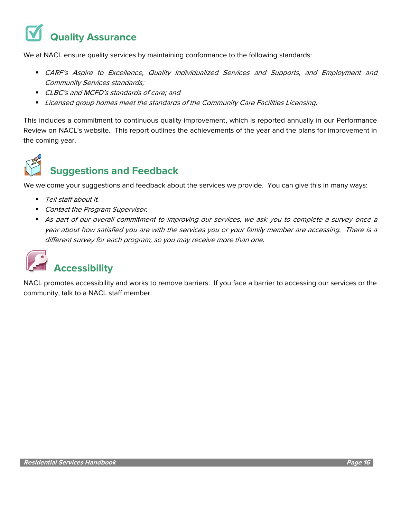## **Quality Assurance**

We at NACL ensure quality services by maintaining conformance to the following standards:

- **■** CARF's Aspire to Excellence, Quality Individualized Services and Supports, and Employment and Community Services standards;
- CLBC's and MCFD's standards of care; and
- **■** Licensed group homes meet the standards of the Community Care Facilities Licensing.

This includes a commitment to continuous quality improvement, which is reported annually in our Performance Review on NACL's website. This report outlines the achievements of the year and the plans for improvement in the coming year.



### **Suggestions and Feedback**

We welcome your suggestions and feedback about the services we provide. You can give this in many ways:

- Tell staff about it.
- Contact the Program Supervisor.
- As part of our overall commitment to improving our services, we ask you to complete a survey once a year about how satisfied you are with the services you or your family member are accessing. There is a different survey for each program, so you may receive more than one.



NACL promotes accessibility and works to remove barriers. If you face a barrier to accessing our services or the community, talk to a NACL staff member.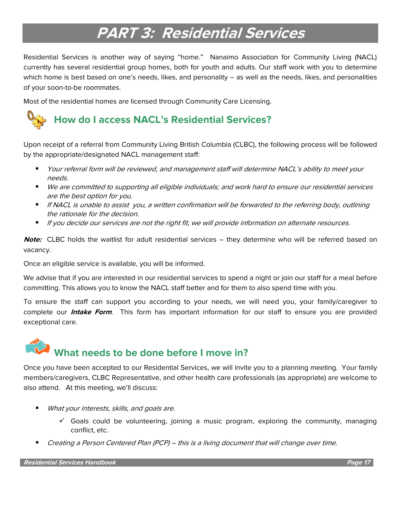## **PART 3: Residential Services**

Residential Services is another way of saying "home." Nanaimo Association for Community Living (NACL) currently has several residential group homes, both for youth and adults. Our staff work with you to determine which home is best based on one's needs, likes, and personality – as well as the needs, likes, and personalities of your soon-to-be roommates.

Most of the residential homes are licensed through Community Care Licensing.

### **How do I access NACL's Residential Services?**

Upon receipt of a referral from Community Living British Columbia (CLBC), the following process will be followed by the appropriate/designated NACL management staff:

- Your referral form will be reviewed, and management staff will determine NACL's ability to meet your needs.
- We are committed to supporting all eligible individuals; and work hard to ensure our residential services are the best option for you.
- If NACL is unable to assist you, a written confirmation will be forwarded to the referring body, outlining the rationale for the decision.
- **■** If you decide our services are not the right fit, we will provide information on alternate resources.

**Note:** CLBC holds the waitlist for adult residential services – they determine who will be referred based on vacancy.

Once an eligible service is available, you will be informed.

We advise that if you are interested in our residential services to spend a night or join our staff for a meal before committing. This allows you to know the NACL staff better and for them to also spend time with you.

To ensure the staff can support you according to your needs, we will need you, your family/caregiver to complete our **Intake Form**. This form has important information for our staff to ensure you are provided exceptional care.

## **What needs to be done before I move in?**

Once you have been accepted to our Residential Services, we will invite you to a planning meeting. Your family members/caregivers, CLBC Representative, and other health care professionals (as appropriate) are welcome to also attend. At this meeting, we'll discuss:

- What your interests, skills, and goals are.
	- $\checkmark$  Goals could be volunteering, joining a music program, exploring the community, managing conflict, etc.
- Creating a Person Centered Plan (PCP) this is a living document that will change over time.

**Residential Services Handbook Page 17**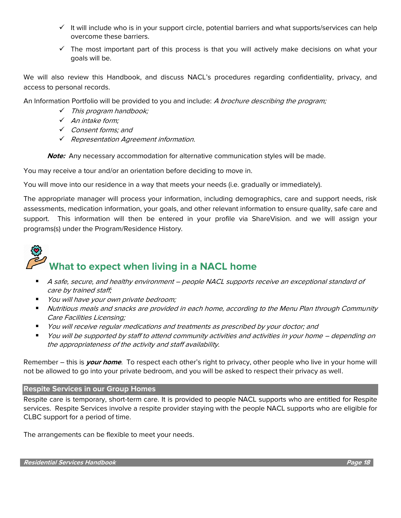- $\checkmark$  It will include who is in your support circle, potential barriers and what supports/services can help overcome these barriers.
- $\checkmark$  The most important part of this process is that you will actively make decisions on what your goals will be.

We will also review this Handbook, and discuss NACL's procedures regarding confidentiality, privacy, and access to personal records.

An Information Portfolio will be provided to you and include: A brochure describing the program;

- ✓ This program handbook;
- ✓ An intake form;
- ✓ Consent forms; and
- ✓ Representation Agreement information.

**Note:** Any necessary accommodation for alternative communication styles will be made.

You may receive a tour and/or an orientation before deciding to move in.

You will move into our residence in a way that meets your needs (i.e. gradually or immediately).

The appropriate manager will process your information, including demographics, care and support needs, risk assessments, medication information, your goals, and other relevant information to ensure quality, safe care and support. This information will then be entered in your profile via ShareVision. and we will assign your programs(s) under the Program/Residence History.

# **What to expect when living in a NACL home**

- A safe, secure, and healthy environment people NACL supports receive an exceptional standard of care by trained staff;
- *You will have your own private bedroom;*
- Nutritious meals and snacks are provided in each home, according to the Menu Plan through Community Care Facilities Licensing;
- You will receive regular medications and treatments as prescribed by your doctor; and
- You will be supported by staff to attend community activities and activities in your home depending on the appropriateness of the activity and staff availability.

Remember – this is **your home**. To respect each other's right to privacy, other people who live in your home will not be allowed to go into your private bedroom, and you will be asked to respect their privacy as well.

#### **Respite Services in our Group Homes**

Respite care is temporary, short-term care. It is provided to people NACL supports who are entitled for Respite services. Respite Services involve a respite provider staying with the people NACL supports who are eligible for CLBC support for a period of time.

The arrangements can be flexible to meet your needs.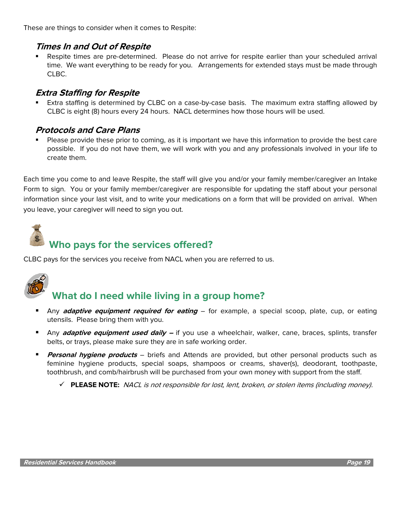These are things to consider when it comes to Respite:

#### **Times In and Out of Respite**

Respite times are pre-determined. Please do not arrive for respite earlier than your scheduled arrival time. We want everything to be ready for you. Arrangements for extended stays must be made through CLBC.

#### **Extra Staffing for Respite**

Extra staffing is determined by CLBC on a case-by-case basis. The maximum extra staffing allowed by CLBC is eight (8) hours every 24 hours. NACL determines how those hours will be used.

#### **Protocols and Care Plans**

Please provide these prior to coming, as it is important we have this information to provide the best care possible. If you do not have them, we will work with you and any professionals involved in your life to create them.

Each time you come to and leave Respite, the staff will give you and/or your family member/caregiver an Intake Form to sign. You or your family member/caregiver are responsible for updating the staff about your personal information since your last visit, and to write your medications on a form that will be provided on arrival. When you leave, your caregiver will need to sign you out.



### **Who pays for the services offered?**

CLBC pays for the services you receive from NACL when you are referred to us.



### **What do I need while living in a group home?**

- Any **adaptive equipment required for eating** for example, a special scoop, plate, cup, or eating utensils. Please bring them with you.
- Any **adaptive equipment used daily –** if you use a wheelchair, walker, cane, braces, splints, transfer belts, or trays, please make sure they are in safe working order.
- **Personal hygiene products** briefs and Attends are provided, but other personal products such as feminine hygiene products, special soaps, shampoos or creams, shaver(s), deodorant, toothpaste, toothbrush, and comb/hairbrush will be purchased from your own money with support from the staff.
	- ✓ **PLEASE NOTE:** NACL is not responsible for lost, lent, broken, or stolen items (including money).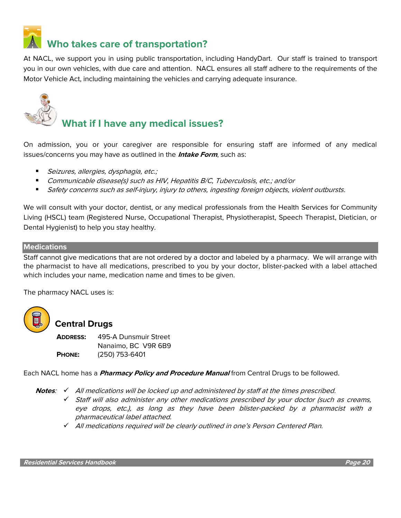

At NACL, we support you in using public transportation, including HandyDart. Our staff is trained to transport you in our own vehicles, with due care and attention. NACL ensures all staff adhere to the requirements of the Motor Vehicle Act, including maintaining the vehicles and carrying adequate insurance.



### **What if I have any medical issues?**

On admission, you or your caregiver are responsible for ensuring staff are informed of any medical issues/concerns you may have as outlined in the **Intake Form**, such as:

- Seizures, allergies, dysphagia, etc.;
- Communicable disease(s) such as HIV, Hepatitis B/C, Tuberculosis, etc.; and/or
- Safety concerns such as self-injury, injury to others, ingesting foreign objects, violent outbursts.

We will consult with your doctor, dentist, or any medical professionals from the Health Services for Community Living (HSCL) team (Registered Nurse, Occupational Therapist, Physiotherapist, Speech Therapist, Dietician, or Dental Hygienist) to help you stay healthy.

#### **Medications**

Staff cannot give medications that are not ordered by a doctor and labeled by a pharmacy. We will arrange with the pharmacist to have all medications, prescribed to you by your doctor, blister-packed with a label attached which includes your name, medication name and times to be given.

The pharmacy NACL uses is:



#### **Central Drugs**

**ADDRESS:** 495-A Dunsmuir Street Nanaimo, BC V9R 6B9 **PHONE:** (250) 753-6401

Each NACL home has a **Pharmacy Policy and Procedure Manual** from Central Drugs to be followed.

**Notes**: ✓ All medications will be locked up and administered by staff at the times prescribed.

✓ Staff will also administer any other medications prescribed by your doctor (such as creams, eye drops, etc.), as long as they have been blister-packed by a pharmacist with a pharmaceutical label attached.

✓ All medications required will be clearly outlined in one's Person Centered Plan.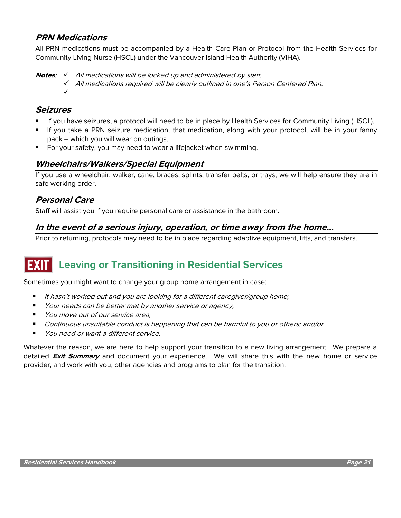#### **PRN Medications**

All PRN medications must be accompanied by a Health Care Plan or Protocol from the Health Services for Community Living Nurse (HSCL) under the Vancouver Island Health Authority (VIHA).

**Notes:** √ All medications will be locked up and administered by staff.

All medications required will be clearly outlined in one's Person Centered Plan.

#### **Seizures**

✓

- If you have seizures, a protocol will need to be in place by Health Services for Community Living (HSCL).
- If you take a PRN seizure medication, that medication, along with your protocol, will be in your fanny pack – which you will wear on outings.
- For your safety, you may need to wear a lifejacket when swimming.

#### **Wheelchairs/Walkers/Special Equipment**

If you use a wheelchair, walker, cane, braces, splints, transfer belts, or trays, we will help ensure they are in safe working order.

#### **Personal Care**

Staff will assist you if you require personal care or assistance in the bathroom.

#### **In the event of a serious injury, operation, or time away from the home…**

Prior to returning, protocols may need to be in place regarding adaptive equipment, lifts, and transfers.

### **Leaving or Transitioning in Residential Services**

Sometimes you might want to change your group home arrangement in case:

- It hasn't worked out and you are looking for a different caregiver/group home;
- Your needs can be better met by another service or agency;
- You move out of our service area;
- Continuous unsuitable conduct is happening that can be harmful to you or others; and/or
- You need or want a different service.

Whatever the reason, we are here to help support your transition to a new living arrangement. We prepare a detailed **Exit Summary** and document your experience. We will share this with the new home or service provider, and work with you, other agencies and programs to plan for the transition.